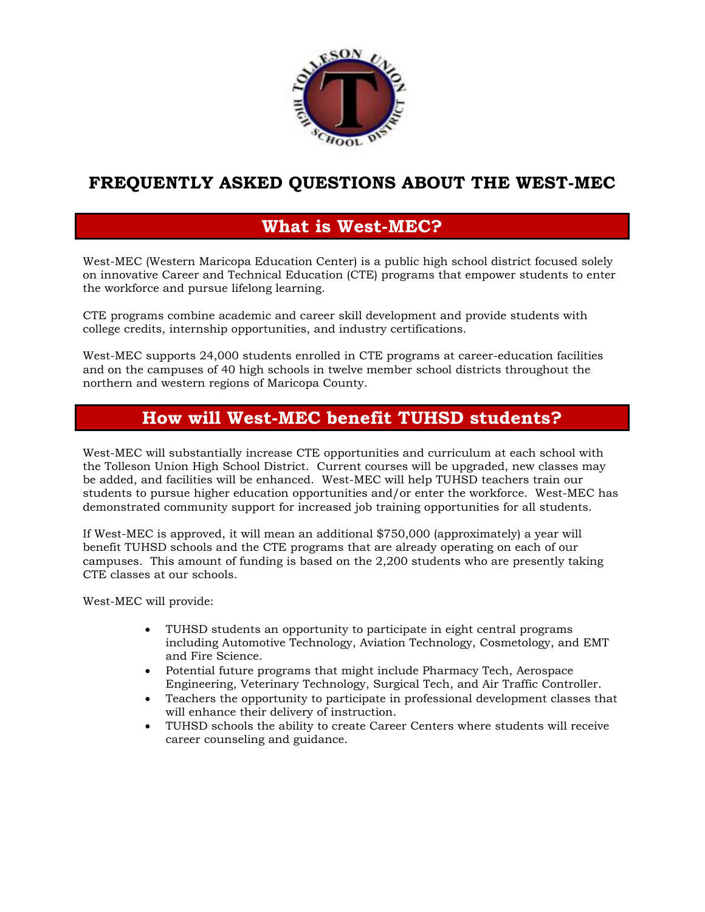

## **FREQUENTLY ASKED QUESTIONS ABOUT THE WEST-MEC**

## **What is West-MEC?**

West-MEC (Western Maricopa Education Center) is a public high school district focused solely on innovative Career and Technical Education (CTE) programs that empower students to enter the workforce and pursue lifelong learning.

CTE programs combine academic and career skill development and provide students with college credits, internship opportunities, and industry certifications.

West-MEC supports 24,000 students enrolled in CTE programs at career-education facilities and on the campuses of 40 high schools in twelve member school districts throughout the northern and western regions of Maricopa County.

## **How will West-MEC benefit TUHSD students?**

West-MEC will substantially increase CTE opportunities and curriculum at each school with the Tolleson Union High School District. Current courses will be upgraded, new classes may be added, and facilities will be enhanced. West-MEC will help TUHSD teachers train our students to pursue higher education opportunities and/or enter the workforce. West-MEC has demonstrated community support for increased job training opportunities for all students.

If West-MEC is approved, it will mean an additional \$750,000 (approximately) a year will benefit TUHSD schools and the CTE programs that are already operating on each of our campuses. This amount of funding is based on the 2,200 students who are presently taking CTE classes at our schools.

West-MEC will provide:

- TUHSD students an opportunity to participate in eight central programs including Automotive Technology, Aviation Technology, Cosmetology, and EMT and Fire Science.
- Potential future programs that might include Pharmacy Tech, Aerospace Engineering, Veterinary Technology, Surgical Tech, and Air Traffic Controller.
- Teachers the opportunity to participate in professional development classes that will enhance their delivery of instruction.
- TUHSD schools the ability to create Career Centers where students will receive career counseling and guidance.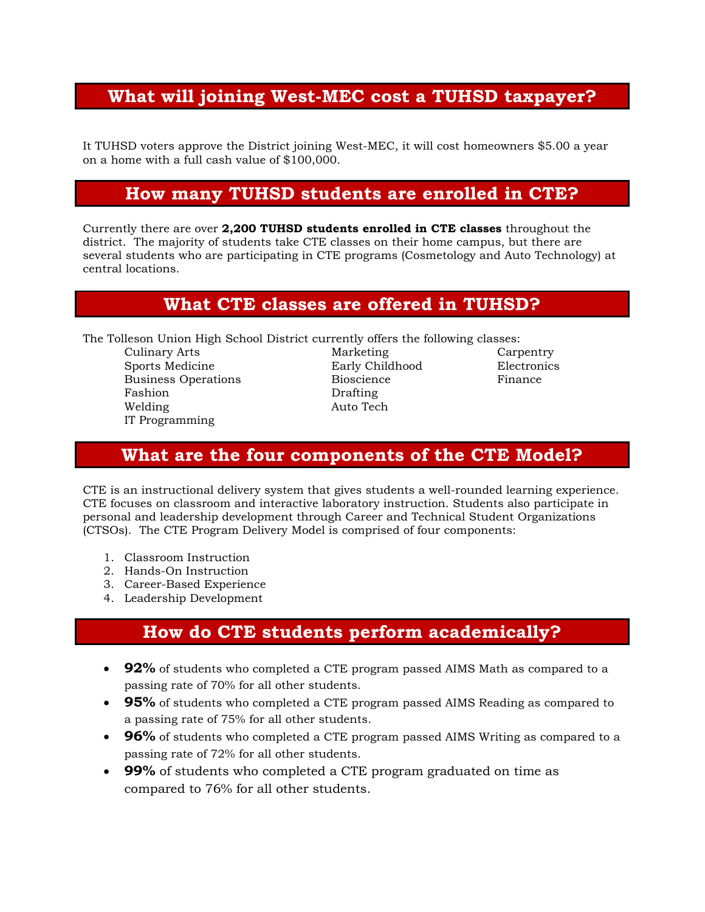## **What will joining West-MEC cost a TUHSD taxpayer?**

It TUHSD voters approve the District joining West-MEC, it will cost homeowners \$5.00 a year on a home with a full cash value of \$100,000.

### **How many TUHSD students are enrolled in CTE?**

Currently there are over **2,200 TUHSD students enrolled in CTE classes** throughout the district. The majority of students take CTE classes on their home campus, but there are several students who are participating in CTE programs (Cosmetology and Auto Technology) at central locations.

#### **What CTE classes are offered in TUHSD?**

The Tolleson Union High School District currently offers the following classes:

Culinary Arts **Marketing** Carpentry Carpentry Sports Medicine Early Childhood Electronics Business Operations **Bioscience** Finance Fashion Drafting Welding Auto Tech IT Programming

### **What are the four components of the CTE Model?**

CTE is an instructional delivery system that gives students a well-rounded learning experience. CTE focuses on classroom and interactive laboratory instruction. Students also participate in personal and leadership development through Career and Technical Student Organizations (CTSOs). The CTE Program Delivery Model is comprised of four components:

- 1. Classroom Instruction
- 2. Hands-On Instruction
- 3. Career-Based Experience
- 4. Leadership Development

## **How do CTE students perform academically?**

- **92%** of students who completed a CTE program passed AIMS Math as compared to a passing rate of 70% for all other students.
- **95%** of students who completed a CTE program passed AIMS Reading as compared to a passing rate of 75% for all other students.
- **96%** of students who completed a CTE program passed AIMS Writing as compared to a passing rate of 72% for all other students.
- **99%** of students who completed a CTE program graduated on time as compared to 76% for all other students.